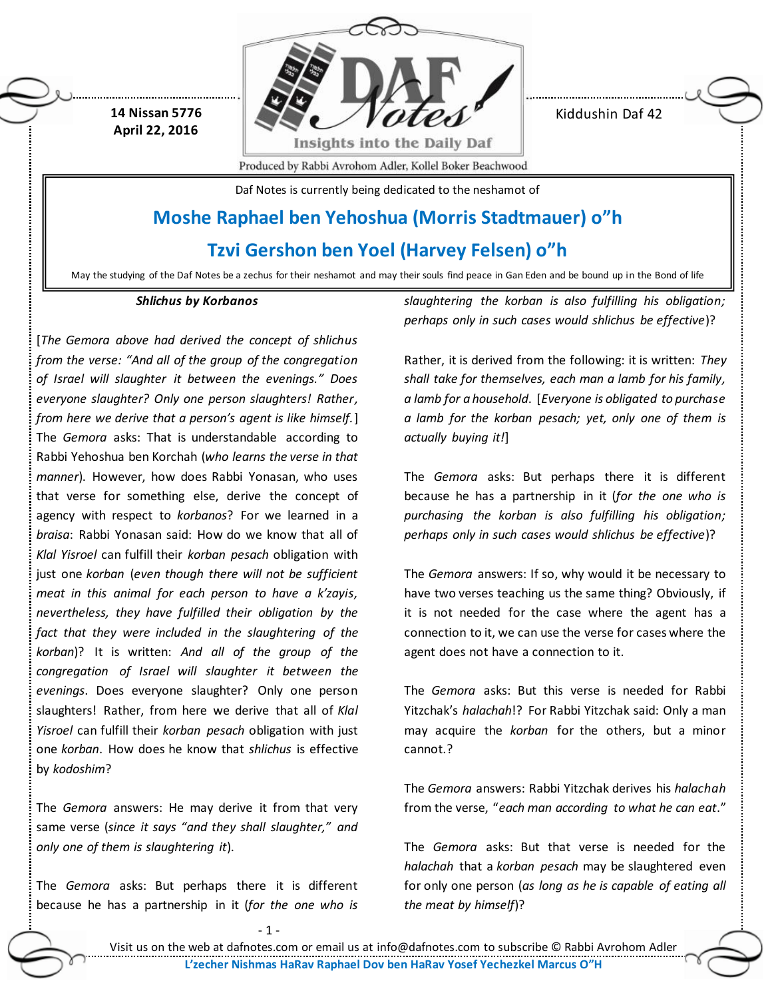**14 Nissan 5776 April 22, 2016**



Kiddushin Daf 42

Produced by Rabbi Avrohom Adler, Kollel Boker Beachwood

Daf Notes is currently being dedicated to the neshamot of

# **Moshe Raphael ben Yehoshua (Morris Stadtmauer) o"h**

**Tzvi Gershon ben Yoel (Harvey Felsen) o"h**

May the studying of the Daf Notes be a zechus for their neshamot and may their souls find peace in Gan Eden and be bound up in the Bond of life

## *Shlichus by Korbanos*

[*The Gemora above had derived the concept of shlichus from the verse: "And all of the group of the congregation of Israel will slaughter it between the evenings." Does everyone slaughter? Only one person slaughters! Rather, from here we derive that a person's agent is like himself.*] The *Gemora* asks: That is understandable according to Rabbi Yehoshua ben Korchah (*who learns the verse in that manner*). However, how does Rabbi Yonasan, who uses that verse for something else, derive the concept of agency with respect to *korbanos*? For we learned in a *braisa*: Rabbi Yonasan said: How do we know that all of *Klal Yisroel* can fulfill their *korban pesach* obligation with just one *korban* (*even though there will not be sufficient meat in this animal for each person to have a k'zayis, nevertheless, they have fulfilled their obligation by the fact that they were included in the slaughtering of the korban*)? It is written: *And all of the group of the congregation of Israel will slaughter it between the evenings*. Does everyone slaughter? Only one person slaughters! Rather, from here we derive that all of *Klal Yisroel* can fulfill their *korban pesach* obligation with just one *korban*. How does he know that *shlichus* is effective by *kodoshim*?

The *Gemora* answers: He may derive it from that very same verse (*since it says "and they shall slaughter," and only one of them is slaughtering it*).

The *Gemora* asks: But perhaps there it is different because he has a partnership in it (*for the one who is*  *slaughtering the korban is also fulfilling his obligation; perhaps only in such cases would shlichus be effective*)?

Rather, it is derived from the following: it is written: *They shall take for themselves, each man a lamb for his family, a lamb for a household*. [*Everyone is obligated to purchase a lamb for the korban pesach; yet, only one of them is actually buying it!*]

The *Gemora* asks: But perhaps there it is different because he has a partnership in it (*for the one who is purchasing the korban is also fulfilling his obligation; perhaps only in such cases would shlichus be effective*)?

The *Gemora* answers: If so, why would it be necessary to have two verses teaching us the same thing? Obviously, if it is not needed for the case where the agent has a connection to it, we can use the verse for cases where the agent does not have a connection to it.

The *Gemora* asks: But this verse is needed for Rabbi Yitzchak's *halachah*!? For Rabbi Yitzchak said: Only a man may acquire the *korban* for the others, but a minor cannot.?

The *Gemora* answers: Rabbi Yitzchak derives his *halachah* from the verse, "*each man according to what he can eat*."

The *Gemora* asks: But that verse is needed for the *halachah* that a *korban pesach* may be slaughtered even for only one person (*as long as he is capable of eating all the meat by himself*)?

- 1 -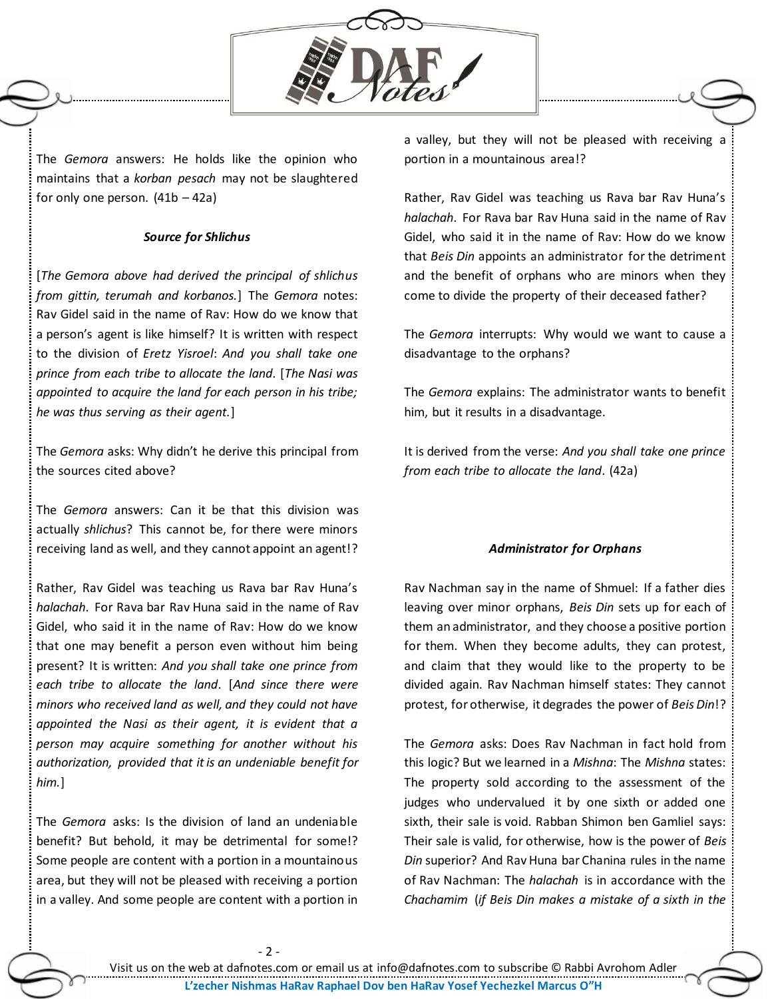

The *Gemora* answers: He holds like the opinion who maintains that a *korban pesach* may not be slaughtered for only one person.  $(41b - 42a)$ 

# *Source for Shlichus*

[*The Gemora above had derived the principal of shlichus from gittin, terumah and korbanos.*] The *Gemora* notes: Rav Gidel said in the name of Rav: How do we know that a person's agent is like himself? It is written with respect to the division of *Eretz Yisroel*: *And you shall take one prince from each tribe to allocate the land*. [*The Nasi was appointed to acquire the land for each person in his tribe; he was thus serving as their agent.*]

The *Gemora* asks: Why didn't he derive this principal from the sources cited above?

The *Gemora* answers: Can it be that this division was actually *shlichus*? This cannot be, for there were minors receiving land as well, and they cannot appoint an agent!?

Rather, Rav Gidel was teaching us Rava bar Rav Huna's *halachah*. For Rava bar Rav Huna said in the name of Rav Gidel, who said it in the name of Rav: How do we know that one may benefit a person even without him being present? It is written: *And you shall take one prince from each tribe to allocate the land*. [*And since there were minors who received land as well, and they could not have appointed the Nasi as their agent, it is evident that a person may acquire something for another without his authorization, provided that it is an undeniable benefit for him.*]

The *Gemora* asks: Is the division of land an undeniable benefit? But behold, it may be detrimental for some!? Some people are content with a portion in a mountainous area, but they will not be pleased with receiving a portion in a valley. And some people are content with a portion in

a valley, but they will not be pleased with receiving a portion in a mountainous area!?

Rather, Rav Gidel was teaching us Rava bar Rav Huna's *halachah*. For Rava bar Rav Huna said in the name of Rav Gidel, who said it in the name of Rav: How do we know that *Beis Din* appoints an administrator for the detriment and the benefit of orphans who are minors when they come to divide the property of their deceased father?

The *Gemora* interrupts: Why would we want to cause a disadvantage to the orphans?

The *Gemora* explains: The administrator wants to benefit him, but it results in a disadvantage.

It is derived from the verse: *And you shall take one prince from each tribe to allocate the land*. (42a)

## *Administrator for Orphans*

Rav Nachman say in the name of Shmuel: If a father dies leaving over minor orphans, *Beis Din* sets up for each of them an administrator, and they choose a positive portion for them. When they become adults, they can protest, and claim that they would like to the property to be divided again. Rav Nachman himself states: They cannot protest, for otherwise, it degrades the power of *Beis Din*!?

The *Gemora* asks: Does Rav Nachman in fact hold from this logic? But we learned in a *Mishna*: The *Mishna* states: The property sold according to the assessment of the judges who undervalued it by one sixth or added one sixth, their sale is void. Rabban Shimon ben Gamliel says: Their sale is valid, for otherwise, how is the power of *Beis Din* superior? And Rav Huna bar Chanina rules in the name of Rav Nachman: The *halachah* is in accordance with the *Chachamim* (*if Beis Din makes a mistake of a sixth in the*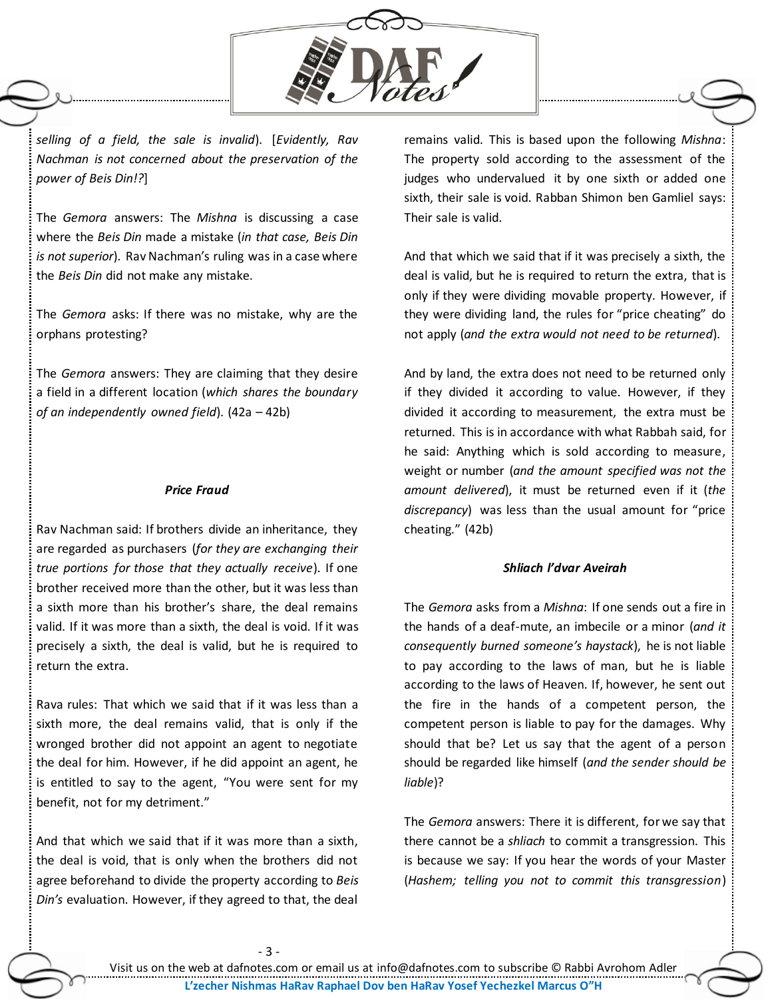

*selling of a field, the sale is invalid*). [*Evidently, Rav Nachman is not concerned about the preservation of the power of Beis Din!?*]

The *Gemora* answers: The *Mishna* is discussing a case where the *Beis Din* made a mistake (*in that case, Beis Din is not superior*). Rav Nachman's ruling was in a case where the *Beis Din* did not make any mistake.

The *Gemora* asks: If there was no mistake, why are the orphans protesting?

The *Gemora* answers: They are claiming that they desire a field in a different location (*which shares the boundary of an independently owned field*). (42a – 42b)

#### *Price Fraud*

Rav Nachman said: If brothers divide an inheritance, they are regarded as purchasers (*for they are exchanging their true portions for those that they actually receive*). If one brother received more than the other, but it was less than a sixth more than his brother's share, the deal remains valid. If it was more than a sixth, the deal is void. If it was precisely a sixth, the deal is valid, but he is required to return the extra.

Rava rules: That which we said that if it was less than a sixth more, the deal remains valid, that is only if the wronged brother did not appoint an agent to negotiate the deal for him. However, if he did appoint an agent, he is entitled to say to the agent, "You were sent for my benefit, not for my detriment."

And that which we said that if it was more than a sixth, the deal is void, that is only when the brothers did not agree beforehand to divide the property according to *Beis Din's* evaluation. However, if they agreed to that, the deal

remains valid. This is based upon the following *Mishna*: The property sold according to the assessment of the judges who undervalued it by one sixth or added one sixth, their sale is void. Rabban Shimon ben Gamliel says: Their sale is valid.

And that which we said that if it was precisely a sixth, the deal is valid, but he is required to return the extra, that is only if they were dividing movable property. However, if they were dividing land, the rules for "price cheating" do not apply (*and the extra would not need to be returned*).

And by land, the extra does not need to be returned only if they divided it according to value. However, if they divided it according to measurement, the extra must be returned. This is in accordance with what Rabbah said, for he said: Anything which is sold according to measure, weight or number (*and the amount specified was not the amount delivered*), it must be returned even if it (*the discrepancy*) was less than the usual amount for "price cheating." (42b)

## *Shliach l'dvar Aveirah*

The *Gemora* asks from a *Mishna*: If one sends out a fire in the hands of a deaf-mute, an imbecile or a minor (*and it consequently burned someone's haystack*), he is not liable to pay according to the laws of man, but he is liable according to the laws of Heaven. If, however, he sent out the fire in the hands of a competent person, the competent person is liable to pay for the damages. Why should that be? Let us say that the agent of a person should be regarded like himself (*and the sender should be liable*)?

The *Gemora* answers: There it is different, for we say that there cannot be a *shliach* to commit a transgression. This is because we say: If you hear the words of your Master (*Hashem; telling you not to commit this transgression*)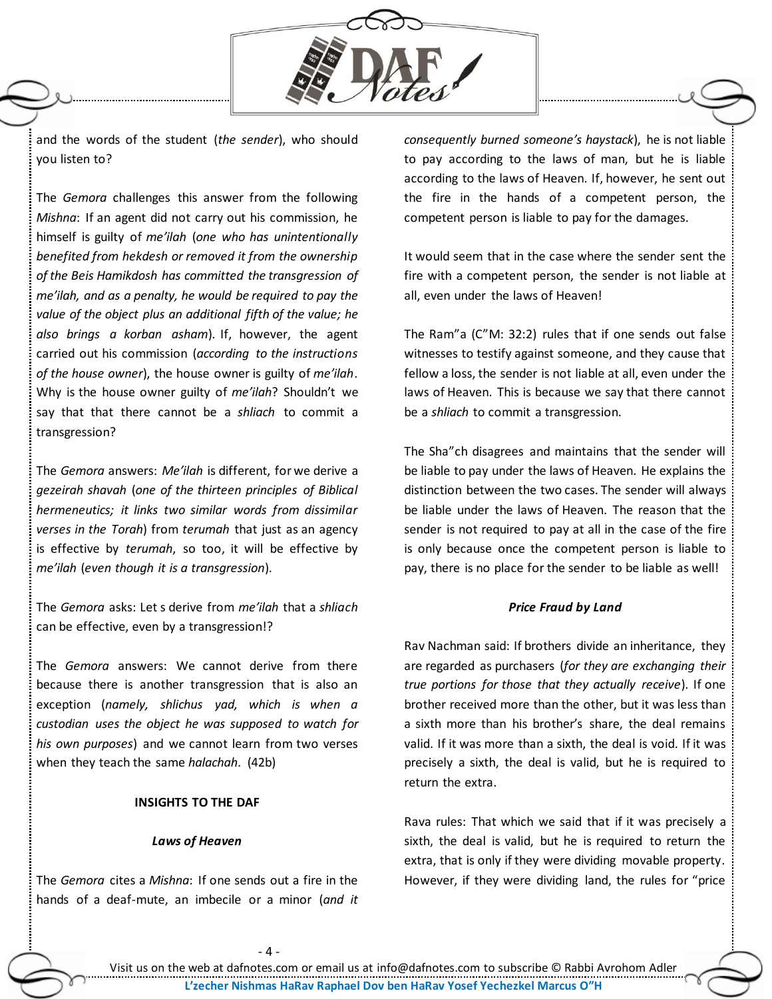

and the words of the student (*the sender*), who should you listen to?

The *Gemora* challenges this answer from the following *Mishna*: If an agent did not carry out his commission, he himself is guilty of *me'ilah* (*one who has unintentionally benefited from hekdesh or removed it from the ownership of the Beis Hamikdosh has committed the transgression of me'ilah, and as a penalty, he would be required to pay the value of the object plus an additional fifth of the value; he also brings a korban asham*). If, however, the agent carried out his commission (*according to the instructions of the house owner*), the house owner is guilty of *me'ilah*. Why is the house owner guilty of *me'ilah*? Shouldn't we say that that there cannot be a *shliach* to commit a transgression?

The *Gemora* answers: *Me'ilah* is different, for we derive a *gezeirah shavah* (*one of the thirteen principles of Biblical hermeneutics; it links two similar words from dissimilar verses in the Torah*) from *terumah* that just as an agency is effective by *terumah*, so too, it will be effective by *me'ilah* (*even though it is a transgression*).

The *Gemora* asks: Let s derive from *me'ilah* that a *shliach* can be effective, even by a transgression!?

The *Gemora* answers: We cannot derive from there because there is another transgression that is also an exception (*namely, shlichus yad, which is when a custodian uses the object he was supposed to watch for his own purposes*) and we cannot learn from two verses when they teach the same *halachah*. (42b)

## **INSIGHTS TO THE DAF**

## *Laws of Heaven*

The *Gemora* cites a *Mishna*: If one sends out a fire in the hands of a deaf-mute, an imbecile or a minor (*and it*  *consequently burned someone's haystack*), he is not liable to pay according to the laws of man, but he is liable according to the laws of Heaven. If, however, he sent out the fire in the hands of a competent person, the competent person is liable to pay for the damages.

It would seem that in the case where the sender sent the fire with a competent person, the sender is not liable at all, even under the laws of Heaven!

The Ram"a (C"M: 32:2) rules that if one sends out false witnesses to testify against someone, and they cause that fellow a loss, the sender is not liable at all, even under the laws of Heaven. This is because we say that there cannot be a *shliach* to commit a transgression.

The Sha"ch disagrees and maintains that the sender will be liable to pay under the laws of Heaven. He explains the distinction between the two cases. The sender will always be liable under the laws of Heaven. The reason that the sender is not required to pay at all in the case of the fire is only because once the competent person is liable to pay, there is no place for the sender to be liable as well!

### *Price Fraud by Land*

Rav Nachman said: If brothers divide an inheritance, they are regarded as purchasers (*for they are exchanging their true portions for those that they actually receive*). If one brother received more than the other, but it was less than a sixth more than his brother's share, the deal remains valid. If it was more than a sixth, the deal is void. If it was precisely a sixth, the deal is valid, but he is required to return the extra.

Rava rules: That which we said that if it was precisely a sixth, the deal is valid, but he is required to return the extra, that is only if they were dividing movable property. However, if they were dividing land, the rules for "price